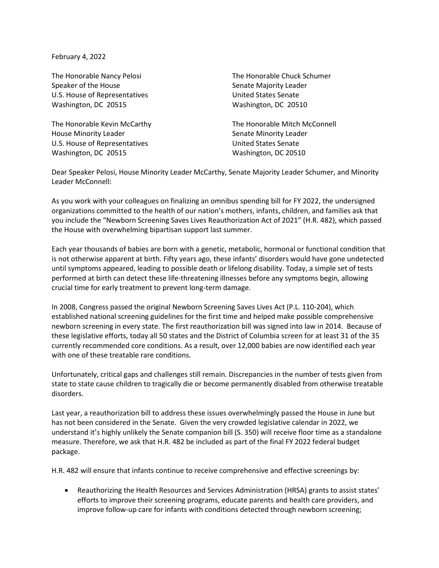February 4, 2022

Speaker of the House Speaker of the House Senate Majority Leader U.S. House of Representatives **U.S. House of Representatives** United States Senate Washington, DC 20515 Washington, DC 20510

House Minority Leader National Communisties of Senate Minority Leader U.S. House of Representatives and the United States Senate Washington, DC 20515 Washington, DC 20510

The Honorable Nancy Pelosi **The Honorable Chuck Schumer** 

The Honorable Kevin McCarthy The Honorable Mitch McConnell

Dear Speaker Pelosi, House Minority Leader McCarthy, Senate Majority Leader Schumer, and Minority Leader McConnell:

As you work with your colleagues on finalizing an omnibus spending bill for FY 2022, the undersigned organizations committed to the health of our nation's mothers, infants, children, and families ask that you include the "Newborn Screening Saves Lives Reauthorization Act of 2021" (H.R. 482), which passed the House with overwhelming bipartisan support last summer.

Each year thousands of babies are born with a genetic, metabolic, hormonal or functional condition that is not otherwise apparent at birth. Fifty years ago, these infants' disorders would have gone undetected until symptoms appeared, leading to possible death or lifelong disability. Today, a simple set of tests performed at birth can detect these life-threatening illnesses before any symptoms begin, allowing crucial time for early treatment to prevent long-term damage.

In 2008, Congress passed the original Newborn Screening Saves Lives Act (P.L. 110-204), which established national screening guidelines for the first time and helped make possible comprehensive newborn screening in every state. The first reauthorization bill was signed into law in 2014. Because of these legislative efforts, today all 50 states and the District of Columbia screen for at least 31 of the 35 currently recommended core conditions. As a result, over 12,000 babies are now identified each year with one of these treatable rare conditions.

Unfortunately, critical gaps and challenges still remain. Discrepancies in the number of tests given from state to state cause children to tragically die or become permanently disabled from otherwise treatable disorders.

Last year, a reauthorization bill to address these issues overwhelmingly passed the House in June but has not been considered in the Senate. Given the very crowded legislative calendar in 2022, we understand it's highly unlikely the Senate companion bill (S. 350) will receive floor time as a standalone measure. Therefore, we ask that H.R. 482 be included as part of the final FY 2022 federal budget package.

H.R. 482 will ensure that infants continue to receive comprehensive and effective screenings by:

 Reauthorizing the Health Resources and Services Administration (HRSA) grants to assist states' efforts to improve their screening programs, educate parents and health care providers, and improve follow-up care for infants with conditions detected through newborn screening;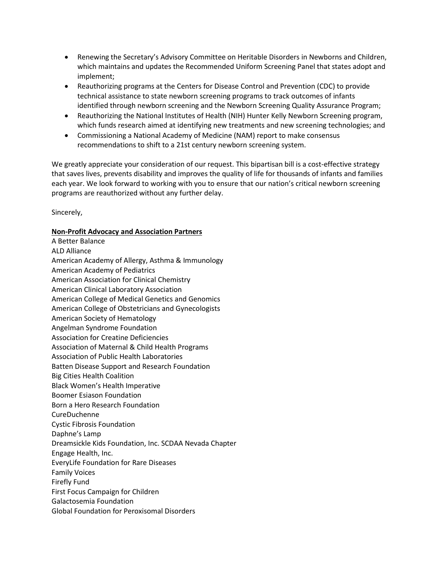- Renewing the Secretary's Advisory Committee on Heritable Disorders in Newborns and Children, which maintains and updates the Recommended Uniform Screening Panel that states adopt and implement;
- Reauthorizing programs at the Centers for Disease Control and Prevention (CDC) to provide technical assistance to state newborn screening programs to track outcomes of infants identified through newborn screening and the Newborn Screening Quality Assurance Program;
- Reauthorizing the National Institutes of Health (NIH) Hunter Kelly Newborn Screening program, which funds research aimed at identifying new treatments and new screening technologies; and
- Commissioning a National Academy of Medicine (NAM) report to make consensus recommendations to shift to a 21st century newborn screening system.

We greatly appreciate your consideration of our request. This bipartisan bill is a cost-effective strategy that saves lives, prevents disability and improves the quality of life for thousands of infants and families each year. We look forward to working with you to ensure that our nation's critical newborn screening programs are reauthorized without any further delay.

Sincerely,

## **Non-Profit Advocacy and Association Partners**

A Better Balance ALD Alliance American Academy of Allergy, Asthma & Immunology American Academy of Pediatrics American Association for Clinical Chemistry American Clinical Laboratory Association American College of Medical Genetics and Genomics American College of Obstetricians and Gynecologists American Society of Hematology Angelman Syndrome Foundation Association for Creatine Deficiencies Association of Maternal & Child Health Programs Association of Public Health Laboratories Batten Disease Support and Research Foundation Big Cities Health Coalition Black Women's Health Imperative Boomer Esiason Foundation Born a Hero Research Foundation CureDuchenne Cystic Fibrosis Foundation Daphne's Lamp Dreamsickle Kids Foundation, Inc. SCDAA Nevada Chapter Engage Health, Inc. EveryLife Foundation for Rare Diseases Family Voices Firefly Fund First Focus Campaign for Children Galactosemia Foundation Global Foundation for Peroxisomal Disorders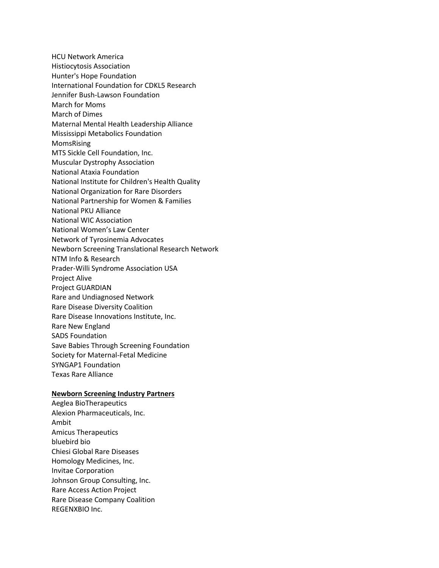HCU Network America Histiocytosis Association Hunter's Hope Foundation International Foundation for CDKL5 Research Jennifer Bush-Lawson Foundation March for Moms March of Dimes Maternal Mental Health Leadership Alliance Mississippi Metabolics Foundation MomsRising MTS Sickle Cell Foundation, Inc. Muscular Dystrophy Association National Ataxia Foundation National Institute for Children's Health Quality National Organization for Rare Disorders National Partnership for Women & Families National PKU Alliance National WIC Association National Women's Law Center Network of Tyrosinemia Advocates Newborn Screening Translational Research Network NTM Info & Research Prader-Willi Syndrome Association USA Project Alive Project GUARDIAN Rare and Undiagnosed Network Rare Disease Diversity Coalition Rare Disease Innovations Institute, Inc. Rare New England SADS Foundation Save Babies Through Screening Foundation Society for Maternal-Fetal Medicine SYNGAP1 Foundation Texas Rare Alliance

## **Newborn Screening Industry Partners**

Aeglea BioTherapeutics Alexion Pharmaceuticals, Inc. Ambit Amicus Therapeutics bluebird bio Chiesi Global Rare Diseases Homology Medicines, Inc. Invitae Corporation Johnson Group Consulting, Inc. Rare Access Action Project Rare Disease Company Coalition REGENXBIO Inc.